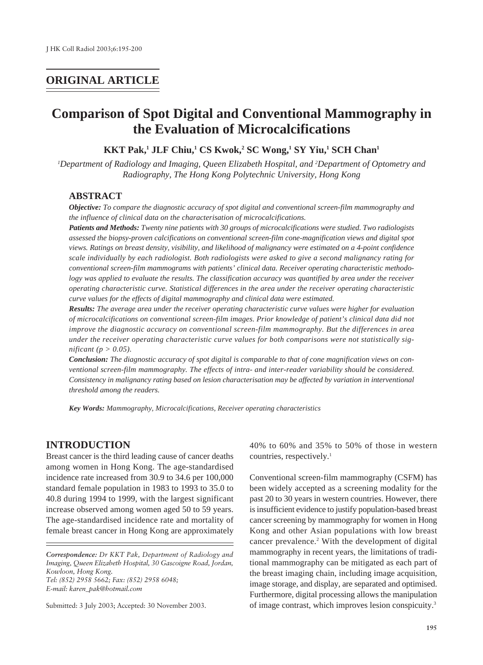# **ORIGINAL ARTICLE**

# **Comparison of Spot Digital and Conventional Mammography in the Evaluation of Microcalcifications**

**KKT Pak,1 JLF Chiu,1 CS Kwok,2 SC Wong,1 SY Yiu,1 SCH Chan1**

*1 Department of Radiology and Imaging, Queen Elizabeth Hospital, and 2 Department of Optometry and Radiography, The Hong Kong Polytechnic University, Hong Kong*

#### **ABSTRACT**

*Objective: To compare the diagnostic accuracy of spot digital and conventional screen-film mammography and the influence of clinical data on the characterisation of microcalcifications.*

*Patients and Methods: Twenty nine patients with 30 groups of microcalcifications were studied. Two radiologists assessed the biopsy-proven calcifications on conventional screen-film cone-magnification views and digital spot views. Ratings on breast density, visibility, and likelihood of malignancy were estimated on a 4-point confidence scale individually by each radiologist. Both radiologists were asked to give a second malignancy rating for conventional screen-film mammograms with patients' clinical data. Receiver operating characteristic methodology was applied to evaluate the results. The classification accuracy was quantified by area under the receiver operating characteristic curve. Statistical differences in the area under the receiver operating characteristic curve values for the effects of digital mammography and clinical data were estimated.*

*Results: The average area under the receiver operating characteristic curve values were higher for evaluation of microcalcifications on conventional screen-film images. Prior knowledge of patient's clinical data did not improve the diagnostic accuracy on conventional screen-film mammography. But the differences in area under the receiver operating characteristic curve values for both comparisons were not statistically significant (p > 0.05).*

*Conclusion: The diagnostic accuracy of spot digital is comparable to that of cone magnification views on conventional screen-film mammography. The effects of intra- and inter-reader variability should be considered. Consistency in malignancy rating based on lesion characterisation may be affected by variation in interventional threshold among the readers.*

*Key Words: Mammography, Microcalcifications, Receiver operating characteristics*

# **INTRODUCTION**

Breast cancer is the third leading cause of cancer deaths among women in Hong Kong. The age-standardised incidence rate increased from 30.9 to 34.6 per 100,000 standard female population in 1983 to 1993 to 35.0 to 40.8 during 1994 to 1999, with the largest significant increase observed among women aged 50 to 59 years. The age-standardised incidence rate and mortality of female breast cancer in Hong Kong are approximately

*Correspondence: Dr KKT Pak, Department of Radiology and Imaging, Queen Elizabeth Hospital, 30 Gascoigne Road, Jordan, Kowloon, Hong Kong. Tel: (852) 2958 5662; Fax: (852) 2958 6048; E-mail: karen\_pak@hotmail.com*

Submitted: 3 July 2003; Accepted: 30 November 2003.

40% to 60% and 35% to 50% of those in western countries, respectively.<sup>1</sup>

Conventional screen-film mammography (CSFM) has been widely accepted as a screening modality for the past 20 to 30 years in western countries. However, there is insufficient evidence to justify population-based breast cancer screening by mammography for women in Hong Kong and other Asian populations with low breast cancer prevalence.<sup>2</sup> With the development of digital mammography in recent years, the limitations of traditional mammography can be mitigated as each part of the breast imaging chain, including image acquisition, image storage, and display, are separated and optimised. Furthermore, digital processing allows the manipulation of image contrast, which improves lesion conspicuity.3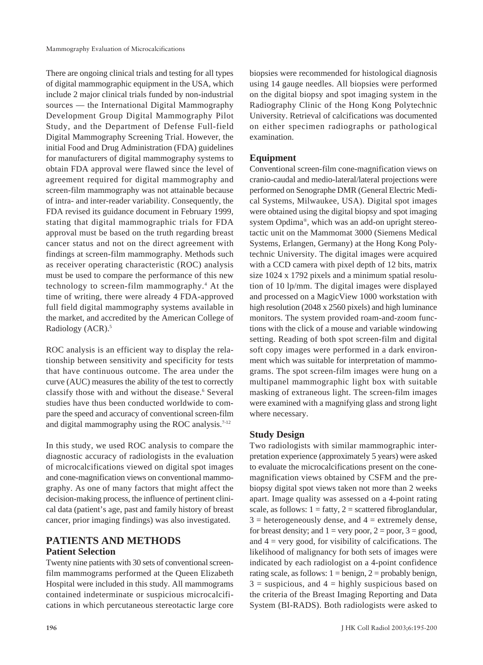There are ongoing clinical trials and testing for all types of digital mammographic equipment in the USA, which include 2 major clinical trials funded by non-industrial sources — the International Digital Mammography Development Group Digital Mammography Pilot Study, and the Department of Defense Full-field Digital Mammography Screening Trial. However, the initial Food and Drug Administration (FDA) guidelines for manufacturers of digital mammography systems to obtain FDA approval were flawed since the level of agreement required for digital mammography and screen-film mammography was not attainable because of intra- and inter-reader variability. Consequently, the FDA revised its guidance document in February 1999, stating that digital mammographic trials for FDA approval must be based on the truth regarding breast cancer status and not on the direct agreement with findings at screen-film mammography. Methods such as receiver operating characteristic (ROC) analysis must be used to compare the performance of this new technology to screen-film mammography.4 At the time of writing, there were already 4 FDA-approved full field digital mammography systems available in the market, and accredited by the American College of Radiology (ACR).<sup>5</sup>

ROC analysis is an efficient way to display the relationship between sensitivity and specificity for tests that have continuous outcome. The area under the curve (AUC) measures the ability of the test to correctly classify those with and without the disease.<sup>6</sup> Several studies have thus been conducted worldwide to compare the speed and accuracy of conventional screen-film and digital mammography using the ROC analysis.<sup>7-12</sup>

In this study, we used ROC analysis to compare the diagnostic accuracy of radiologists in the evaluation of microcalcifications viewed on digital spot images and cone-magnification views on conventional mammography. As one of many factors that might affect the decision-making process, the influence of pertinent clinical data (patient's age, past and family history of breast cancer, prior imaging findings) was also investigated.

# **PATIENTS AND METHODS Patient Selection**

Twenty nine patients with 30 sets of conventional screenfilm mammograms performed at the Queen Elizabeth Hospital were included in this study. All mammograms contained indeterminate or suspicious microcalcifications in which percutaneous stereotactic large core biopsies were recommended for histological diagnosis using 14 gauge needles. All biopsies were performed on the digital biopsy and spot imaging system in the Radiography Clinic of the Hong Kong Polytechnic University. Retrieval of calcifications was documented on either specimen radiographs or pathological examination.

# **Equipment**

Conventional screen-film cone-magnification views on cranio-caudal and medio-lateral/lateral projections were performed on Senographe DMR (General Electric Medical Systems, Milwaukee, USA). Digital spot images were obtained using the digital biopsy and spot imaging system Opdima®, which was an add-on upright stereotactic unit on the Mammomat 3000 (Siemens Medical Systems, Erlangen, Germany) at the Hong Kong Polytechnic University. The digital images were acquired with a CCD camera with pixel depth of 12 bits, matrix size 1024 x 1792 pixels and a minimum spatial resolution of 10 lp/mm. The digital images were displayed and processed on a MagicView 1000 workstation with high resolution (2048 x 2560 pixels) and high luminance monitors. The system provided roam-and-zoom functions with the click of a mouse and variable windowing setting. Reading of both spot screen-film and digital soft copy images were performed in a dark environment which was suitable for interpretation of mammograms. The spot screen-film images were hung on a multipanel mammographic light box with suitable masking of extraneous light. The screen-film images were examined with a magnifying glass and strong light where necessary.

# **Study Design**

Two radiologists with similar mammographic interpretation experience (approximately 5 years) were asked to evaluate the microcalcifications present on the conemagnification views obtained by CSFM and the prebiopsy digital spot views taken not more than 2 weeks apart. Image quality was assessed on a 4-point rating scale, as follows:  $1 = \text{fatty}, 2 = \text{scattered fibroglandular},$  $3 =$  heterogeneously dense, and  $4 =$  extremely dense, for breast density; and  $1 = \text{very poor}, 2 = \text{poor}, 3 = \text{good},$ and  $4 = \text{very good, for visibility of calcifications. The}$ likelihood of malignancy for both sets of images were indicated by each radiologist on a 4-point confidence rating scale, as follows:  $1 = \text{benign}, 2 = \text{probability benign},$  $3 =$  suspicious, and  $4 =$  highly suspicious based on the criteria of the Breast Imaging Reporting and Data System (BI-RADS). Both radiologists were asked to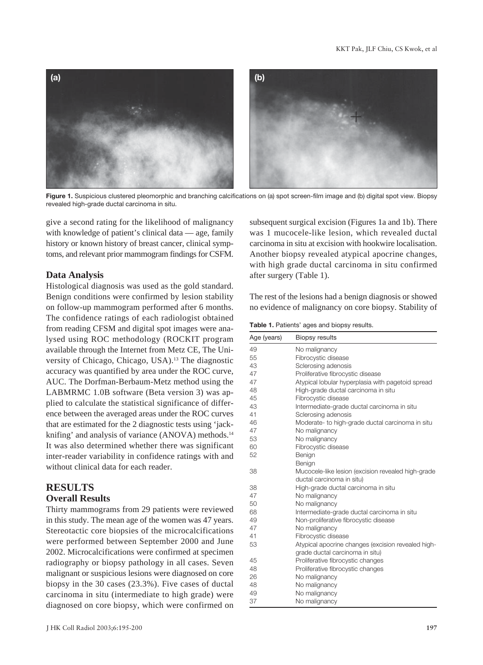

**Figure 1.** Suspicious clustered pleomorphic and branching calcifications on (a) spot screen-film image and (b) digital spot view. Biopsy revealed high-grade ductal carcinoma in situ.

give a second rating for the likelihood of malignancy with knowledge of patient's clinical data — age, family history or known history of breast cancer, clinical symptoms, and relevant prior mammogram findings for CSFM.

# **Data Analysis**

Histological diagnosis was used as the gold standard. Benign conditions were confirmed by lesion stability on follow-up mammogram performed after 6 months. The confidence ratings of each radiologist obtained from reading CFSM and digital spot images were analysed using ROC methodology (ROCKIT program available through the Internet from Metz CE, The University of Chicago, Chicago, USA).13 The diagnostic accuracy was quantified by area under the ROC curve, AUC. The Dorfman-Berbaum-Metz method using the LABMRMC 1.0B software (Beta version 3) was applied to calculate the statistical significance of difference between the averaged areas under the ROC curves that are estimated for the 2 diagnostic tests using 'jackknifing' and analysis of variance (ANOVA) methods.<sup>14</sup> It was also determined whether there was significant inter-reader variability in confidence ratings with and without clinical data for each reader.

### **RESULTS Overall Results**

Thirty mammograms from 29 patients were reviewed in this study. The mean age of the women was 47 years. Stereotactic core biopsies of the microcalcifications were performed between September 2000 and June 2002. Microcalcifications were confirmed at specimen radiography or biopsy pathology in all cases. Seven malignant or suspicious lesions were diagnosed on core biopsy in the 30 cases (23.3%). Five cases of ductal carcinoma in situ (intermediate to high grade) were diagnosed on core biopsy, which were confirmed on

subsequent surgical excision (Figures 1a and 1b). There was 1 mucocele-like lesion, which revealed ductal carcinoma in situ at excision with hookwire localisation. Another biopsy revealed atypical apocrine changes, with high grade ductal carcinoma in situ confirmed after surgery (Table 1).

The rest of the lesions had a benign diagnosis or showed no evidence of malignancy on core biopsy. Stability of

**Table 1.** Patients' ages and biopsy results.

| Age (years) | <b>Biopsy results</b>                              |  |  |
|-------------|----------------------------------------------------|--|--|
| 49          | No malignancy                                      |  |  |
| 55          | Fibrocystic disease                                |  |  |
| 43          | Sclerosing adenosis                                |  |  |
| 47          | Proliferative fibrocystic disease                  |  |  |
| 47          | Atypical lobular hyperplasia with pagetoid spread  |  |  |
| 48          | High-grade ductal carcinoma in situ                |  |  |
| 45          | Fibrocystic disease                                |  |  |
| 43          | Intermediate-grade ductal carcinoma in situ        |  |  |
| 41          | Sclerosing adenosis                                |  |  |
| 46          | Moderate- to high-grade ductal carcinoma in situ   |  |  |
| 47          | No malignancy                                      |  |  |
| 53          | No malignancy                                      |  |  |
| 60          | Fibrocystic disease                                |  |  |
| 52          | Benign                                             |  |  |
|             | Benign                                             |  |  |
| 38          | Mucocele-like lesion (excision revealed high-grade |  |  |
|             | ductal carcinoma in situ)                          |  |  |
| 38          | High-grade ductal carcinoma in situ                |  |  |
| 47          | No malignancy                                      |  |  |
| 50          | No malignancy                                      |  |  |
| 68          | Intermediate-grade ductal carcinoma in situ        |  |  |
| 49          | Non-proliferative fibrocystic disease              |  |  |
| 47          | No malignancy                                      |  |  |
| 41          | Fibrocystic disease                                |  |  |
| 53          | Atypical apocrine changes (excision revealed high- |  |  |
|             | grade ductal carcinoma in situ)                    |  |  |
| 45          | Proliferative fibrocystic changes                  |  |  |
| 48          | Proliferative fibrocystic changes                  |  |  |
| 26          | No malignancy                                      |  |  |
| 48          | No malignancy                                      |  |  |
| 49          | No malignancy                                      |  |  |
| 37          | No malignancy                                      |  |  |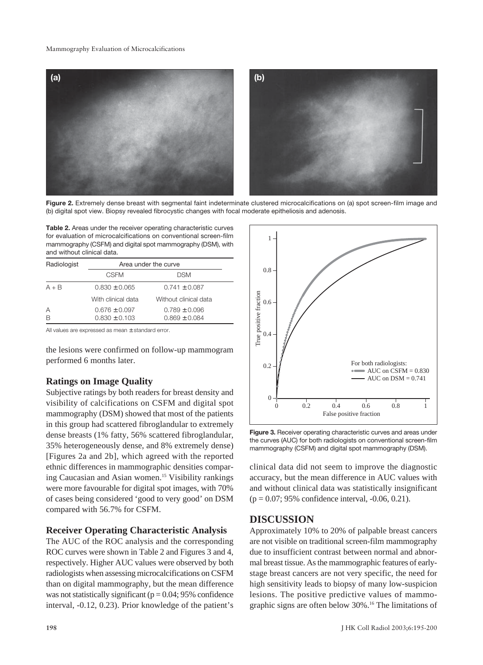#### Mammography Evaluation of Microcalcifications



**Figure 2.** Extremely dense breast with segmental faint indeterminate clustered microcalcifications on (a) spot screen-film image and (b) digital spot view. Biopsy revealed fibrocystic changes with focal moderate epitheliosis and adenosis.

**Table 2.** Areas under the receiver operating characteristic curves for evaluation of microcalcifications on conventional screen-film mammography (CSFM) and digital spot mammography (DSM), with and without clinical data.

| Radiologist | Area under the curve |                       |  |
|-------------|----------------------|-----------------------|--|
|             | <b>CSFM</b>          | <b>DSM</b>            |  |
| $A + B$     | $0.830 \pm 0.065$    | $0.741 \pm 0.087$     |  |
|             | With clinical data   | Without clinical data |  |
| Α           | $0.676 \pm 0.097$    | $0.789 \pm 0.096$     |  |
| B           | $0.830 \pm 0.103$    | $0.869 \pm 0.084$     |  |

All values are expressed as mean ± standard error.

the lesions were confirmed on follow-up mammogram performed 6 months later.

# **Ratings on Image Quality**

Subjective ratings by both readers for breast density and visibility of calcifications on CSFM and digital spot mammography (DSM) showed that most of the patients in this group had scattered fibroglandular to extremely dense breasts (1% fatty, 56% scattered fibroglandular, 35% heterogeneously dense, and 8% extremely dense) [Figures 2a and 2b], which agreed with the reported ethnic differences in mammographic densities comparing Caucasian and Asian women.15 Visibility rankings were more favourable for digital spot images, with 70% of cases being considered 'good to very good' on DSM compared with 56.7% for CSFM.

#### **Receiver Operating Characteristic Analysis**

The AUC of the ROC analysis and the corresponding ROC curves were shown in Table 2 and Figures 3 and 4, respectively. Higher AUC values were observed by both radiologists when assessing microcalcifications on CSFM than on digital mammography, but the mean difference was not statistically significant ( $p = 0.04$ ; 95% confidence interval, -0.12, 0.23). Prior knowledge of the patient's



**Figure 3.** Receiver operating characteristic curves and areas under the curves (AUC) for both radiologists on conventional screen-film mammography (CSFM) and digital spot mammography (DSM).

clinical data did not seem to improve the diagnostic accuracy, but the mean difference in AUC values with and without clinical data was statistically insignificant (p = 0.07; 95% confidence interval, -0.06, 0.21).

# **DISCUSSION**

Approximately 10% to 20% of palpable breast cancers are not visible on traditional screen-film mammography due to insufficient contrast between normal and abnormal breast tissue. As the mammographic features of earlystage breast cancers are not very specific, the need for high sensitivity leads to biopsy of many low-suspicion lesions. The positive predictive values of mammographic signs are often below 30%.16 The limitations of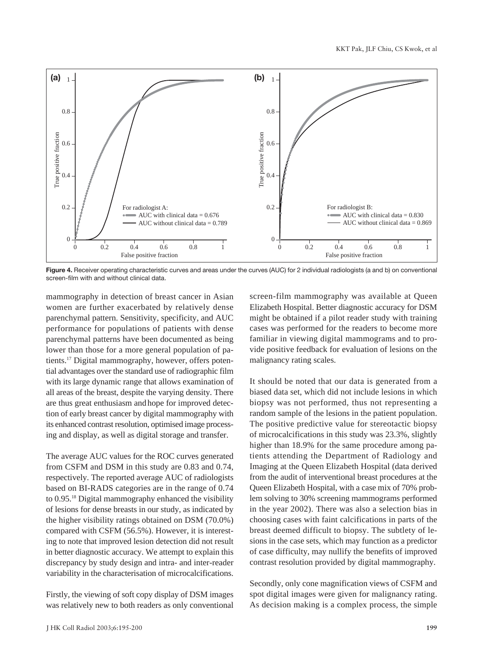

**Figure 4.** Receiver operating characteristic curves and areas under the curves (AUC) for 2 individual radiologists (a and b) on conventional screen-film with and without clinical data.

mammography in detection of breast cancer in Asian women are further exacerbated by relatively dense parenchymal pattern. Sensitivity, specificity, and AUC performance for populations of patients with dense parenchymal patterns have been documented as being lower than those for a more general population of patients.17 Digital mammography, however, offers potential advantages over the standard use of radiographic film with its large dynamic range that allows examination of all areas of the breast, despite the varying density. There are thus great enthusiasm and hope for improved detection of early breast cancer by digital mammography with its enhanced contrast resolution, optimised image processing and display, as well as digital storage and transfer.

The average AUC values for the ROC curves generated from CSFM and DSM in this study are 0.83 and 0.74, respectively. The reported average AUC of radiologists based on BI-RADS categories are in the range of 0.74 to 0.95.18 Digital mammography enhanced the visibility of lesions for dense breasts in our study, as indicated by the higher visibility ratings obtained on DSM (70.0%) compared with CSFM (56.5%). However, it is interesting to note that improved lesion detection did not result in better diagnostic accuracy. We attempt to explain this discrepancy by study design and intra- and inter-reader variability in the characterisation of microcalcifications.

Firstly, the viewing of soft copy display of DSM images was relatively new to both readers as only conventional screen-film mammography was available at Queen Elizabeth Hospital. Better diagnostic accuracy for DSM might be obtained if a pilot reader study with training cases was performed for the readers to become more familiar in viewing digital mammograms and to provide positive feedback for evaluation of lesions on the malignancy rating scales.

It should be noted that our data is generated from a biased data set, which did not include lesions in which biopsy was not performed, thus not representing a random sample of the lesions in the patient population. The positive predictive value for stereotactic biopsy of microcalcifications in this study was 23.3%, slightly higher than 18.9% for the same procedure among patients attending the Department of Radiology and Imaging at the Queen Elizabeth Hospital (data derived from the audit of interventional breast procedures at the Queen Elizabeth Hospital, with a case mix of 70% problem solving to 30% screening mammograms performed in the year 2002). There was also a selection bias in choosing cases with faint calcifications in parts of the breast deemed difficult to biopsy. The subtlety of lesions in the case sets, which may function as a predictor of case difficulty, may nullify the benefits of improved contrast resolution provided by digital mammography.

Secondly, only cone magnification views of CSFM and spot digital images were given for malignancy rating. As decision making is a complex process, the simple